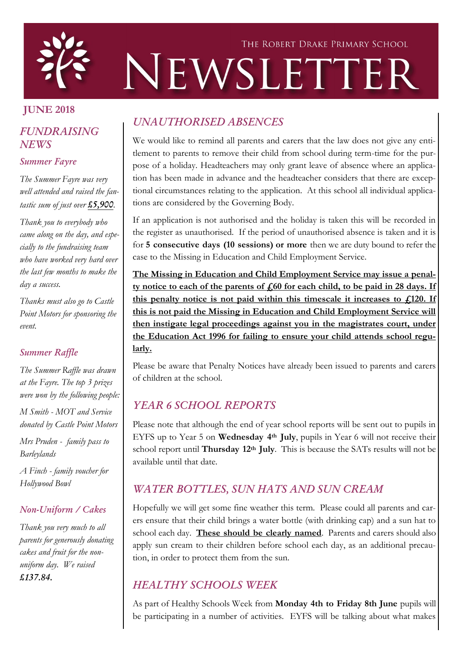

# THE ROBERT DRAKE PRIMARY SCHOOL NEWSLETTER

# JUNE 2018

# *FUNDRAISING NEWS*

#### *Summer Fayre*

*The Summer Fayre was very well attended and raised the fantastic sum of just over £5,900.*

*Thank you to everybody who came along on the day, and especially to the fundraising team who have worked very hard over the last few months to make the day a success.*

*Thanks must also go to Castle Point Motors for sponsoring the event.*

#### *Summer Raffle*

*The Summer Raffle was drawn at the Fayre. The top 3 prizes were won by the following people:*

*M Smith - MOT and Service donated by Castle Point Motors*

*Mrs Pruden - family pass to Barleylands*

*A Finch - family voucher for Hollywood Bowl*

#### *Non-Uniform / Cakes*

*Thank you very much to all parents for generously donating cakes and fruit for the nonuniform day. We raised £137.84.*

# *UNAUTHORISED ABSENCES*

We would like to remind all parents and carers that the law does not give any entitlement to parents to remove their child from school during term-time for the purpose of a holiday. Headteachers may only grant leave of absence where an application has been made in advance and the headteacher considers that there are exceptional circumstances relating to the application. At this school all individual applications are considered by the Governing Body.

If an application is not authorised and the holiday is taken this will be recorded in the register as unauthorised. If the period of unauthorised absence is taken and it is for 5 consecutive days (10 sessions) or more then we are duty bound to refer the case to the Missing in Education and Child Employment Service.

The Missing in Education and Child Employment Service may issue a penalty notice to each of the parents of  $\frac{1}{60}$  for each child, to be paid in 28 days. If this penalty notice is not paid within this timescale it increases to  $f<sub>120</sub>$ . If this is not paid the Missing in Education and Child Employment Service will then instigate legal proceedings against you in the magistrates court, under the Education Act 1996 for failing to ensure your child attends school regularly.

Please be aware that Penalty Notices have already been issued to parents and carers of children at the school.

# *YEAR 6 SCHOOL REPORTS*

Please note that although the end of year school reports will be sent out to pupils in EYFS up to Year 5 on Wednesday 4th July, pupils in Year 6 will not receive their school report until Thursday 12<sup>th</sup> July. This is because the SATs results will not be available until that date.

# *WATER BOTTLES, SUN HATS AND SUN CREAM*

Hopefully we will get some fine weather this term. Please could all parents and carers ensure that their child brings a water bottle (with drinking cap) and a sun hat to school each day. These should be clearly named. Parents and carers should also apply sun cream to their children before school each day, as an additional precaution, in order to protect them from the sun.

# *HEALTHY SCHOOLS WEEK*

As part of Healthy Schools Week from Monday 4th to Friday 8th June pupils will be participating in a number of activities. EYFS will be talking about what makes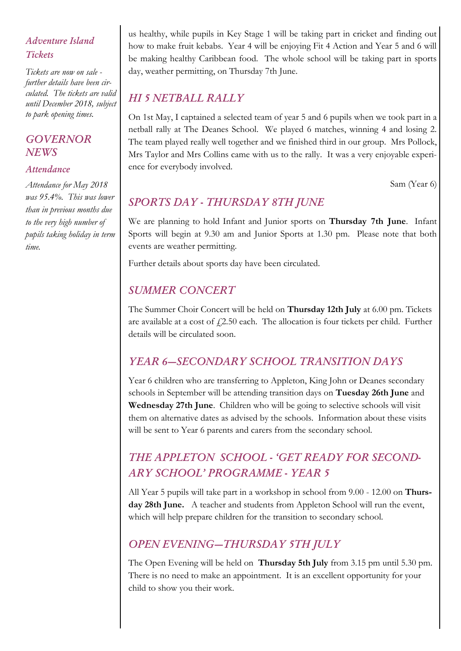## *Adventure Island Tickets*

*Tickets are now on sale further details have been circulated. The tickets are valid until December 2018, subject to park opening times.*

#### *GOVERNOR NEWS*

#### *Attendance*

*Attendance for May 2018 was 95.4%. This was lower than in previous months due to the very high number of pupils taking holiday in term time.*

us healthy, while pupils in Key Stage 1 will be taking part in cricket and finding out how to make fruit kebabs. Year 4 will be enjoying Fit 4 Action and Year 5 and 6 will be making healthy Caribbean food. The whole school will be taking part in sports day, weather permitting, on Thursday 7th June.

# *HI 5 NETBALL RALLY*

On 1st May, I captained a selected team of year 5 and 6 pupils when we took part in a netball rally at The Deanes School. We played 6 matches, winning 4 and losing 2. The team played really well together and we finished third in our group. Mrs Pollock, Mrs Taylor and Mrs Collins came with us to the rally. It was a very enjoyable experience for everybody involved.

Sam (Year 6)

# *SPORTS DAY - THURSDAY 8TH JUNE*

We are planning to hold Infant and Junior sports on Thursday 7th June. Infant Sports will begin at 9.30 am and Junior Sports at 1.30 pm. Please note that both events are weather permitting.

Further details about sports day have been circulated.

# *SUMMER CONCERT*

The Summer Choir Concert will be held on Thursday 12th July at 6.00 pm. Tickets are available at a cost of  $f(2.50 \text{ each.})$  The allocation is four tickets per child. Further details will be circulated soon.

# *YEAR 6—SECONDARY SCHOOL TRANSITION DAYS*

Year 6 children who are transferring to Appleton, King John or Deanes secondary schools in September will be attending transition days on Tuesday 26th June and Wednesday 27th June. Children who will be going to selective schools will visit them on alternative dates as advised by the schools. Information about these visits will be sent to Year 6 parents and carers from the secondary school.

# *THE APPLETON SCHOOL - 'GET READY FOR SECOND-ARY SCHOOL' PROGRAMME - YEAR 5*

All Year 5 pupils will take part in a workshop in school from 9.00 - 12.00 on Thursday 28th June. A teacher and students from Appleton School will run the event, which will help prepare children for the transition to secondary school.

## *OPEN EVENING—THURSDAY 5TH JULY*

The Open Evening will be held on Thursday 5th July from 3.15 pm until 5.30 pm. There is no need to make an appointment. It is an excellent opportunity for your child to show you their work.